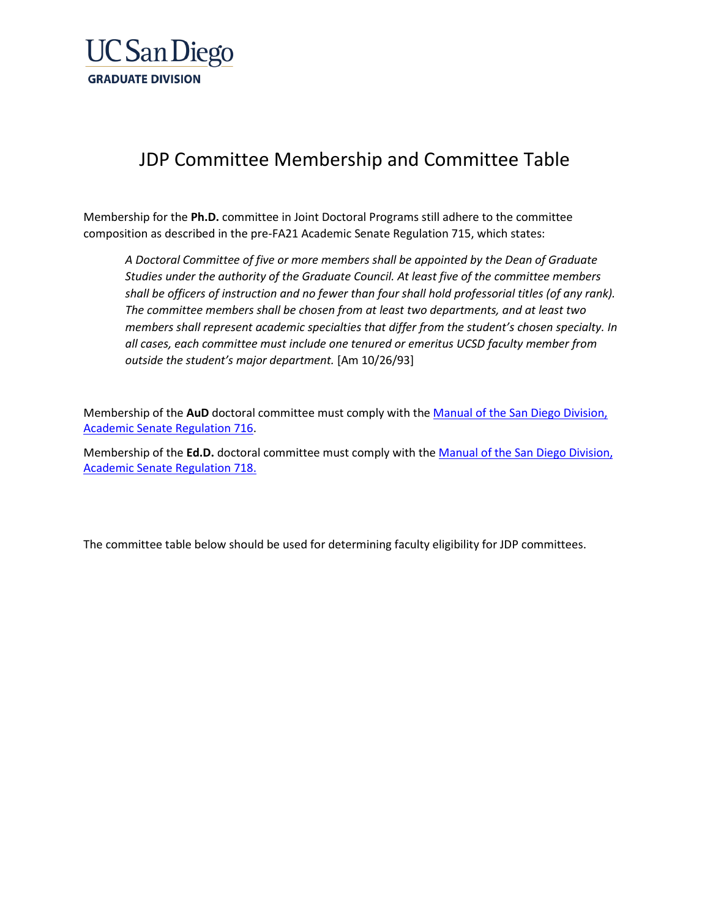

## JDP Committee Membership and Committee Table

Membership for the **Ph.D.** committee in Joint Doctoral Programs still adhere to the committee composition as described in the pre-FA21 Academic Senate Regulation 715, which states:

*A Doctoral Committee of five or more members shall be appointed by the Dean of Graduate Studies under the authority of the Graduate Council. At least five of the committee members shall be officers of instruction and no fewer than four shall hold professorial titles (of any rank). The committee members shall be chosen from at least two departments, and at least two members shall represent academic specialties that differ from the student's chosen specialty. In all cases, each committee must include one tenured or emeritus UCSD faculty member from outside the student's major department.* [Am 10/26/93]

Membership of the **AuD** doctoral committee must comply with the [Manual of the San Diego Division,](https://senate.ucsd.edu/Operating-Procedures/Senate-Manual/Regulations/716)  [Academic Senate Regulation 716.](https://senate.ucsd.edu/Operating-Procedures/Senate-Manual/Regulations/716)

Membership of the **Ed.D.** doctoral committee must comply with the [Manual of the San Diego Division,](https://senate.ucsd.edu/Operating-Procedures/Senate-Manual/Regulations/718)  [Academic Senate Regulation 718.](https://senate.ucsd.edu/Operating-Procedures/Senate-Manual/Regulations/718)

The committee table below should be used for determining faculty eligibility for JDP committees.